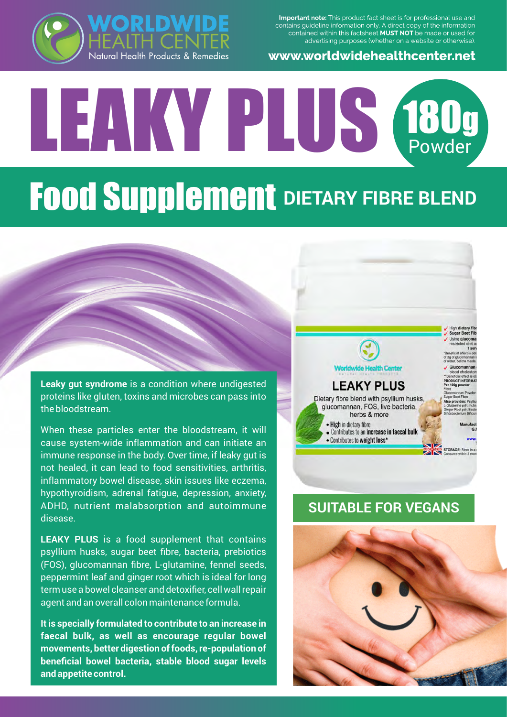Important note: This product fact sheet is for professional use and contains guideline information only. A direct copy of the information contained within this factsheet MUST NOT be made or used for advertising purposes (whether on a website or otherwise).

#### www.worldwidehealthcenter.net



# LEAKY PLUS <sup>180</sup><sup>g</sup> Powder **Food Supplement** DIETARY FIBRE BLEND

#### **Leaky gut syndrome** is a condition where undigested proteins like gluten, toxins and microbes can pass into the bloodstream.

When these particles enter the bloodstream, it will cause system-wide inflammation and can initiate an immune response in the body. Over time, if leaky gut is not healed, it can lead to food sensitivities, arthritis, inflammatory bowel disease, skin issues like eczema, hypothyroidism, adrenal fatigue, depression, anxiety, ADHD, nutrient malabsorption and autoimmune disease.

**LEAKY PLUS** is a food supplement that contains psyllium husks, sugar beet fibre, bacteria, prebiotics (FOS), glucomannan fibre, L-glutamine, fennel seeds, peppermint leaf and ginger root which is ideal for long term use a bowel cleanser and detoxifier, cell wall repair agent and an overall colon maintenance formula.

**It is specially formulated to contribute to an increase in faecal bulk, as well as encourage regular bowel movements, better digestion of foods, re-population of beneficial bowel bacteria, stable blood sugar levels and appetite control.** 



## **SUITABLE FOR VEGANS**

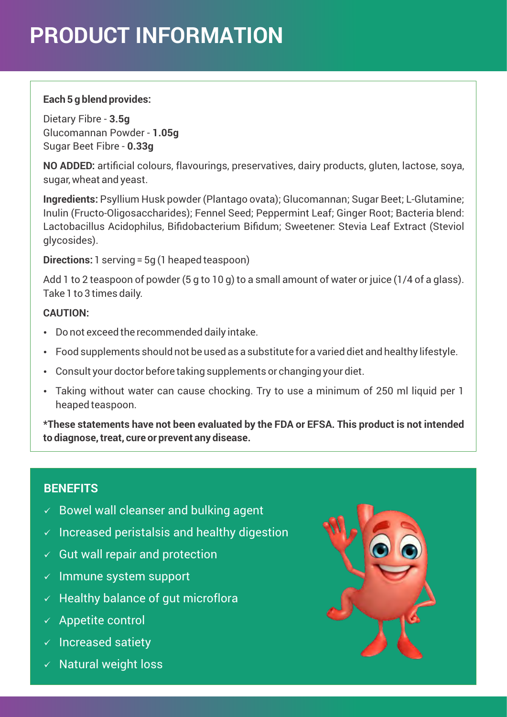# **PRODUCT INFORMATION**

#### **Each 5 g blend provides:**

Dietary Fibre - **3.5g** Glucomannan Powder - **1.05g** Sugar Beet Fibre - **0.33g**

**NO ADDED:** artificial colours, flavourings, preservatives, dairy products, gluten, lactose, soya, sugar, wheat and yeast.

**Ingredients:** Psyllium Husk powder (Plantago ovata); Glucomannan; Sugar Beet; L-Glutamine; Inulin (Fructo-Oligosaccharides); Fennel Seed; Peppermint Leaf; Ginger Root; Bacteria blend: Lactobacillus Acidophilus, Bifidobacterium Bifidum; Sweetener: Stevia Leaf Extract (Steviol glycosides).

**Directions:** 1 serving = 5g (1 heaped teaspoon)

Add 1 to 2 teaspoon of powder (5 g to 10 g) to a small amount of water or juice (1/4 of a glass). Take 1 to 3 times daily.

#### **CAUTION:**

- Do not exceed the recommended daily intake.
- Food supplements should not be used as a substitute for a varied diet and healthy lifestyle.
- Consult your doctor before taking supplements or changing your diet.
- Taking without water can cause chocking. Try to use a minimum of 250 ml liquid per 1 heaped teaspoon.

**\*These statements have not been evaluated by the FDA or EFSA. This product is not intended to diagnose, treat, cure or prevent any disease.**

### **BENEFITS**

- $\checkmark$  Bowel wall cleanser and bulking agent
- $\checkmark$  Increased peristalsis and healthy digestion
- $\checkmark$  Gut wall repair and protection
- $\times$  Immune system support
- $\checkmark$  Healthy balance of gut microflora
- $\times$  Appetite control
- $\times$  Increased satiety
- $\times$  Natural weight loss

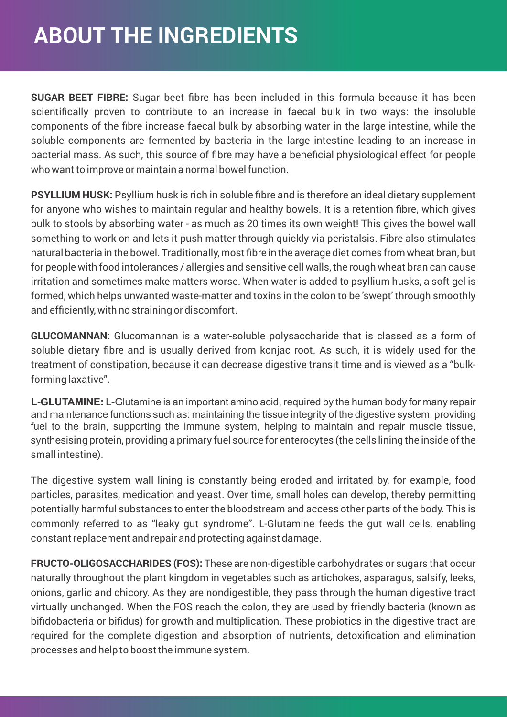## **ABOUT THE INGREDIENTS**

**SUGAR BEET FIBRE:** Sugar beet fibre has been included in this formula because it has been scientifically proven to contribute to an increase in faecal bulk in two ways: the insoluble components of the fibre increase faecal bulk by absorbing water in the large intestine, while the soluble components are fermented by bacteria in the large intestine leading to an increase in bacterial mass. As such, this source of fibre may have a beneficial physiological effect for people who want to improve or maintain a normal bowel function.

**PSYLLIUM HUSK:** Psyllium husk is rich in soluble fibre and is therefore an ideal dietary supplement for anyone who wishes to maintain regular and healthy bowels. It is a retention fibre, which gives bulk to stools by absorbing water - as much as 20 times its own weight! This gives the bowel wall something to work on and lets it push matter through quickly via peristalsis. Fibre also stimulates natural bacteria in the bowel. Traditionally, most fibre in the average diet comes from wheat bran, but for people with food intolerances / allergies and sensitive cell walls, the rough wheat bran can cause irritation and sometimes make matters worse. When water is added to psyllium husks, a soft gel is formed, which helps unwanted waste-matter and toxins in the colon to be 'swept' through smoothly and efficiently, with no straining or discomfort.

**GLUCOMANNAN:** Glucomannan is a water-soluble polysaccharide that is classed as a form of soluble dietary fibre and is usually derived from konjac root. As such, it is widely used for the treatment of constipation, because it can decrease digestive transit time and is viewed as a "bulkforming laxative".

**L-GLUTAMINE:** L-Glutamine is an important amino acid, required by the human body for many repair and maintenance functions such as: maintaining the tissue integrity of the digestive system, providing fuel to the brain, supporting the immune system, helping to maintain and repair muscle tissue, synthesising protein, providing a primary fuel source for enterocytes (the cells lining the inside of the small intestine).

The digestive system wall lining is constantly being eroded and irritated by, for example, food particles, parasites, medication and yeast. Over time, small holes can develop, thereby permitting potentially harmful substances to enter the bloodstream and access other parts of the body. This is commonly referred to as "leaky gut syndrome". L-Glutamine feeds the gut wall cells, enabling constant replacement and repair and protecting against damage.

**FRUCTO-OLIGOSACCHARIDES (FOS):** These are non-digestible carbohydrates or sugars that occur naturally throughout the plant kingdom in vegetables such as artichokes, asparagus, salsify, leeks, onions, garlic and chicory. As they are nondigestible, they pass through the human digestive tract virtually unchanged. When the FOS reach the colon, they are used by friendly bacteria (known as bifidobacteria or bifidus) for growth and multiplication. These probiotics in the digestive tract are required for the complete digestion and absorption of nutrients, detoxification and elimination processes and help to boost the immune system.